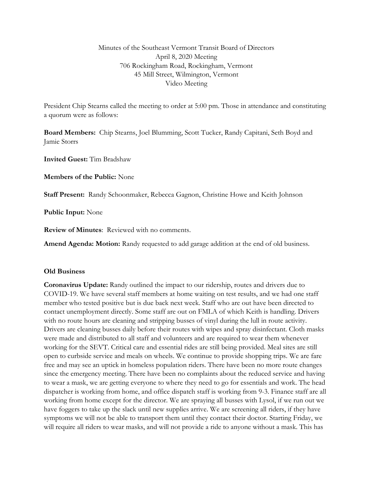## Minutes of the Southeast Vermont Transit Board of Directors April 8, 2020 Meeting 706 Rockingham Road, Rockingham, Vermont 45 Mill Street, Wilmington, Vermont Video Meeting

President Chip Stearns called the meeting to order at 5:00 pm. Those in attendance and constituting a quorum were as follows:

**Board Members:** Chip Stearns, Joel Blumming, Scott Tucker, Randy Capitani, Seth Boyd and Jamie Storrs

**Invited Guest:** Tim Bradshaw

**Members of the Public:** None

**Staff Present:** Randy Schoonmaker, Rebecca Gagnon, Christine Howe and Keith Johnson

**Public Input:** None

**Review of Minutes**: Reviewed with no comments.

**Amend Agenda: Motion:** Randy requested to add garage addition at the end of old business.

## **Old Business**

**Coronavirus Update:** Randy outlined the impact to our ridership, routes and drivers due to COVID-19. We have several staff members at home waiting on test results, and we had one staff member who tested positive but is due back next week. Staff who are out have been directed to contact unemployment directly. Some staff are out on FMLA of which Keith is handling. Drivers with no route hours are cleaning and stripping busses of vinyl during the lull in route activity. Drivers are cleaning busses daily before their routes with wipes and spray disinfectant. Cloth masks were made and distributed to all staff and volunteers and are required to wear them whenever working for the SEVT. Critical care and essential rides are still being provided. Meal sites are still open to curbside service and meals on wheels. We continue to provide shopping trips. We are fare free and may see an uptick in homeless population riders. There have been no more route changes since the emergency meeting. There have been no complaints about the reduced service and having to wear a mask, we are getting everyone to where they need to go for essentials and work. The head dispatcher is working from home, and office dispatch staff is working from 9-3. Finance staff are all working from home except for the director. We are spraying all busses with Lysol, if we run out we have foggers to take up the slack until new supplies arrive. We are screening all riders, if they have symptoms we will not be able to transport them until they contact their doctor. Starting Friday, we will require all riders to wear masks, and will not provide a ride to anyone without a mask. This has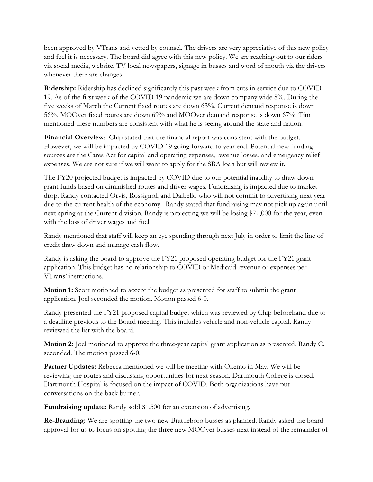been approved by VTrans and vetted by counsel. The drivers are very appreciative of this new policy and feel it is necessary. The board did agree with this new policy. We are reaching out to our riders via social media, website, TV local newspapers, signage in busses and word of mouth via the drivers whenever there are changes.

**Ridership:** Ridership has declined significantly this past week from cuts in service due to COVID 19. As of the first week of the COVID 19 pandemic we are down company wide 8%. During the five weeks of March the Current fixed routes are down 63%, Current demand response is down 56%, MOOver fixed routes are down 69% and MOOver demand response is down 67%. Tim mentioned these numbers are consistent with what he is seeing around the state and nation.

Financial Overview: Chip stated that the financial report was consistent with the budget. However, we will be impacted by COVID 19 going forward to year end. Potential new funding sources are the Cares Act for capital and operating expenses, revenue losses, and emergency relief expenses. We are not sure if we will want to apply for the SBA loan but will review it.

The FY20 projected budget is impacted by COVID due to our potential inability to draw down grant funds based on diminished routes and driver wages. Fundraising is impacted due to market drop. Randy contacted Orvis, Rossignol, and Dalbello who will not commit to advertising next year due to the current health of the economy. Randy stated that fundraising may not pick up again until next spring at the Current division. Randy is projecting we will be losing \$71,000 for the year, even with the loss of driver wages and fuel.

Randy mentioned that staff will keep an eye spending through next July in order to limit the line of credit draw down and manage cash flow.

Randy is asking the board to approve the FY21 proposed operating budget for the FY21 grant application. This budget has no relationship to COVID or Medicaid revenue or expenses per VTrans' instructions.

**Motion 1:** Scott motioned to accept the budget as presented for staff to submit the grant application. Joel seconded the motion. Motion passed 6-0.

Randy presented the FY21 proposed capital budget which was reviewed by Chip beforehand due to a deadline previous to the Board meeting. This includes vehicle and non-vehicle capital. Randy reviewed the list with the board.

**Motion 2:** Joel motioned to approve the three-year capital grant application as presented. Randy C. seconded. The motion passed 6-0.

**Partner Updates:** Rebecca mentioned we will be meeting with Okemo in May. We will be reviewing the routes and discussing opportunities for next season. Dartmouth College is closed. Dartmouth Hospital is focused on the impact of COVID. Both organizations have put conversations on the back burner.

**Fundraising update:** Randy sold \$1,500 for an extension of advertising.

**Re-Branding:** We are spotting the two new Brattleboro busses as planned. Randy asked the board approval for us to focus on spotting the three new MOOver busses next instead of the remainder of